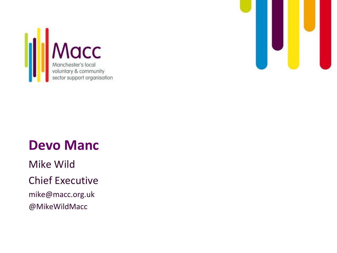



### **Devo Manc**

Mike Wild Chief Executive mike@macc.org.uk @MikeWildMacc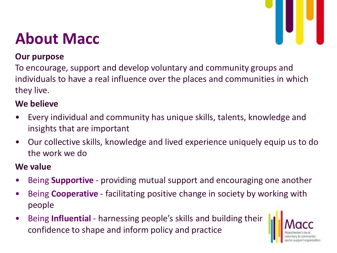### **About Macc**

### **Our purpose**

To encourage, support and develop voluntary and community groups and individuals to have a real influence over the places and communities in which they live.

### **We believe**

- Every individual and community has unique skills, talents, knowledge and insights that are important
- Our collective skills, knowledge and lived experience uniquely equip us to do the work we do

#### **We value**

- Being **Supportive** providing mutual support and encouraging one another
- Being **Cooperative** facilitating positive change in society by working with people
- Being **Influential** harnessing people's skills and building their confidence to shape and inform policy and practice

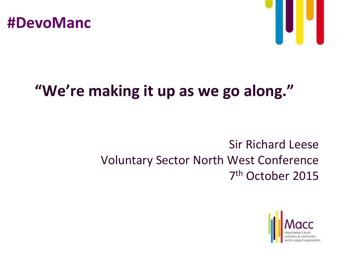



## **"We're making it up as we go along."**

### Sir Richard Leese Voluntary Sector North West Conference 7 th October 2015

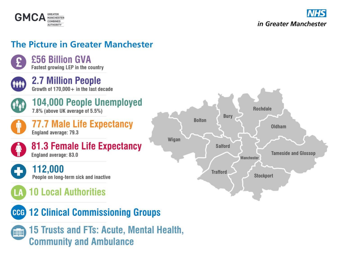

### **The Picture in Greater Manchester**



£56 Billion GVA Fastest growing LEP in the country



**2.7 Million People** 





**104,000 People Unemployed** 7.8% (above UK average of 5.5%)



**77.7 Male Life Expectancy** England average: 79.3





112,000 People on long-term sick and inactive

**10 Local Authorities** 



**CBG** 12 Clinical Commissioning Groups

15 Trusts and FTs: Acute, Mental Health, **Community and Ambulance** 

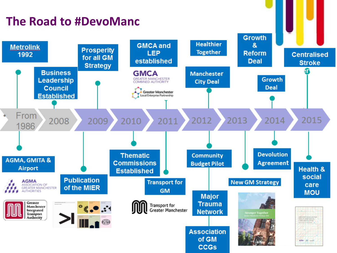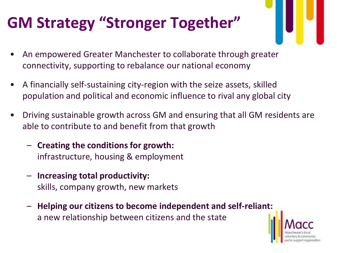## **GM Strategy "Stronger Together"**

- 
- An empowered Greater Manchester to collaborate through greater connectivity, supporting to rebalance our national economy
- A financially self-sustaining city-region with the seize assets, skilled population and political and economic influence to rival any global city
- Driving sustainable growth across GM and ensuring that all GM residents are able to contribute to and benefit from that growth
	- **Creating the conditions for growth:**  infrastructure, housing & employment
	- **Increasing total productivity:**  skills, company growth, new markets
	- **Helping our citizens to become independent and self-reliant:** a new relationship between citizens and the state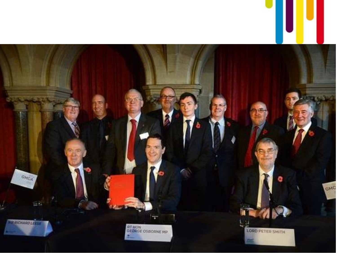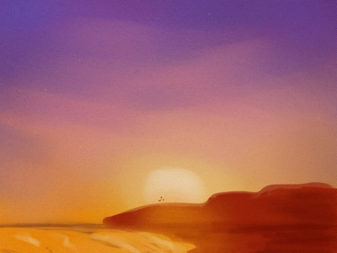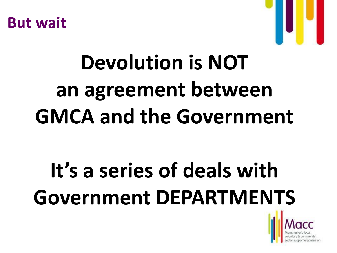**But wait**



# **Devolution is NOT an agreement between GMCA and the Government**

# **It's a series of deals with Government DEPARTMENTS**

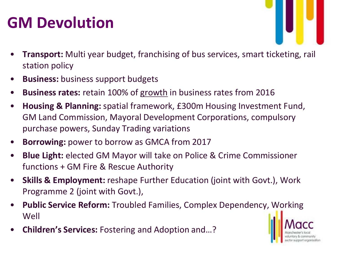### **GM Devolution**



- **Transport:** Multi year budget, franchising of bus services, smart ticketing, rail station policy
- **Business:** business support budgets
- **Business rates:** retain 100% of growth in business rates from 2016
- **Housing & Planning:** spatial framework, £300m Housing Investment Fund, GM Land Commission, Mayoral Development Corporations, compulsory purchase powers, Sunday Trading variations
- **Borrowing:** power to borrow as GMCA from 2017
- **Blue Light:** elected GM Mayor will take on Police & Crime Commissioner functions + GM Fire & Rescue Authority
- **Skills & Employment:** reshape Further Education (joint with Govt.), Work Programme 2 (joint with Govt.),
- **Public Service Reform:** Troubled Families, Complex Dependency, Working Well
- **Children's Services:** Fostering and Adoption and…?

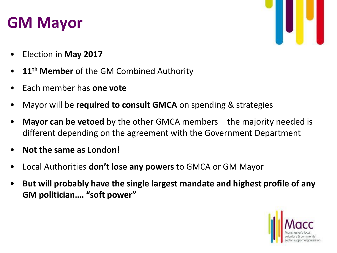### **GM Mayor**



- Election in **May 2017**
- **11th Member** of the GM Combined Authority
- Each member has **one vote**
- Mayor will be **required to consult GMCA** on spending & strategies
- **Mayor can be vetoed** by the other GMCA members the majority needed is different depending on the agreement with the Government Department
- **Not the same as London!**
- Local Authorities **don't lose any powers** to GMCA or GM Mayor
- **But will probably have the single largest mandate and highest profile of any GM politician…. "soft power"**

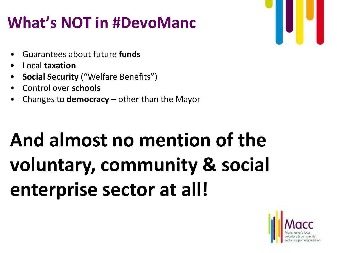## **What's NOT in #DevoManc**

- Guarantees about future **funds**
- Local **taxation**
- **Social Security** ("Welfare Benefits")
- Control over **schools**
- Changes to **democracy** other than the Mayor

# **And almost no mention of the voluntary, community & social enterprise sector at all!**

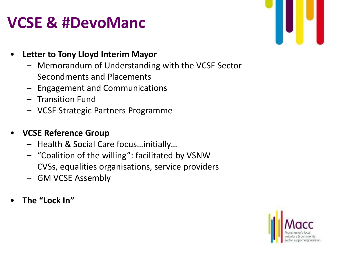### **VCSE & #DevoManc**

- **Letter to Tony Lloyd Interim Mayor**
	- Memorandum of Understanding with the VCSE Sector
	- Secondments and Placements
	- Engagement and Communications
	- Transition Fund
	- VCSE Strategic Partners Programme

### • **VCSE Reference Group**

- Health & Social Care focus…initially…
- "Coalition of the willing": facilitated by VSNW
- CVSs, equalities organisations, service providers
- GM VCSE Assembly
- **The "Lock In"**

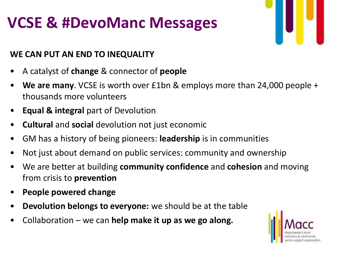## **VCSE & #DevoManc Messages**



### **WE CAN PUT AN END TO INEQUALITY**

- A catalyst of **change** & connector of **people**
- **We are many**. VCSE is worth over £1bn & employs more than 24,000 people + thousands more volunteers
- **Equal & integral** part of Devolution
- **Cultural** and **social** devolution not just economic
- GM has a history of being pioneers: **leadership** is in communities
- Not just about demand on public services: community and ownership
- We are better at building **community confidence** and **cohesion** and moving from crisis to **prevention**
- **People powered change**
- **Devolution belongs to everyone:** we should be at the table
- Collaboration we can **help make it up as we go along.**

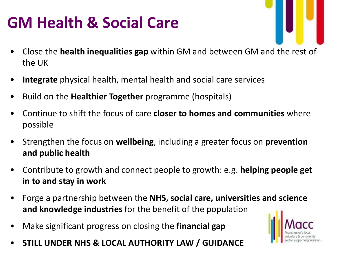### **GM Health & Social Care**

- Close the **health inequalities gap** within GM and between GM and the rest of the UK
- **Integrate** physical health, mental health and social care services
- Build on the **Healthier Together** programme (hospitals)
- Continue to shift the focus of care **closer to homes and communities** where possible
- Strengthen the focus on **wellbeing**, including a greater focus on **prevention and public health**
- Contribute to growth and connect people to growth: e.g. **helping people get in to and stay in work**
- Forge a partnership between the **NHS, social care, universities and science and knowledge industries** for the benefit of the population
- Make significant progress on closing the **financial gap**
- **STILL UNDER NHS & LOCAL AUTHORITY LAW / GUIDANCE**

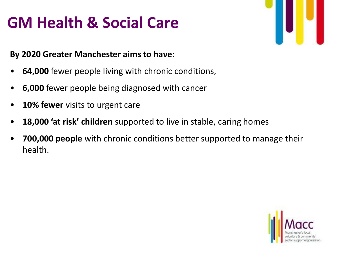### **GM Health & Social Care**



#### **By 2020 Greater Manchester aims to have:**

- **64,000** fewer people living with chronic conditions,
- **6,000** fewer people being diagnosed with cancer
- **10% fewer** visits to urgent care
- **18,000 'at risk' children** supported to live in stable, caring homes
- **700,000 people** with chronic conditions better supported to manage their health.

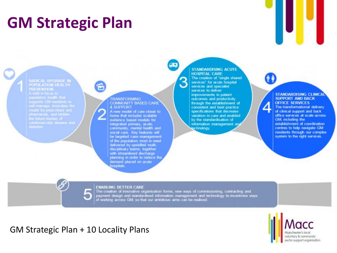### **GM Strategic Plan**

**RADICAL UPGRADE IN** POPULATION HEALTH **PREVENTION** set-manage, innovates the<br>model for prescribers and dubotos

#### **FRANSFORMING COMMUNITY BASED CARE** & SUPPORT

A new model of care closer to home that includes scalable evidence based models for integrated primary, acute. community, mental health and social care Key features will be targeted case management of the population most in need delivered by upskilled multidisciplinary teams, together with streamlined discharge planning in order to reduce the demand placed on acute hospitals

#### **STANDARDISING ACUTE HOSPITAL CARE** The creation of "single shared services" for acute hospital services and specialist services to deliver improvements in patient outcomes and productivity through the establishment of consistent and best practice. specifications that decrease variation in care and enabled by the standardisation of information management an technology.

**STANDARDISING CLINICAL SUPPORT AND BACK OFFICE SERVICES** The transformational delivery of clinical support and back office services at scale across GM, including the establishment of coordination centres to help navigate GM residents through our complex system to the right services.

#### **ENABLING BETTER CARE**

The creation of innovative organisation forms, new ways of commissioning, contracting and payment design and standardised information management and technology to incentivise ways of working across GM, so that our ambitious aims can be realised.

#### **GM Strategic Plan + 10 Locality Plans**

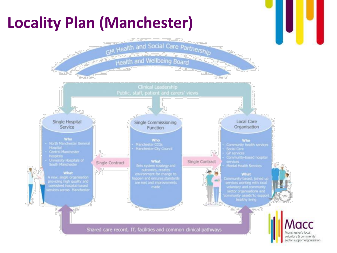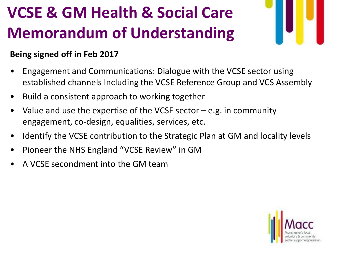# **VCSE & GM Health & Social Care Memorandum of Understanding**



#### **Being signed off in Feb 2017**

- Engagement and Communications: Dialogue with the VCSE sector using established channels Including the VCSE Reference Group and VCS Assembly
- Build a consistent approach to working together
- Value and use the expertise of the VCSE sector  $-e.g.$  in community engagement, co-design, equalities, services, etc.
- Identify the VCSE contribution to the Strategic Plan at GM and locality levels
- Pioneer the NHS England "VCSE Review" in GM
- A VCSE secondment into the GM team